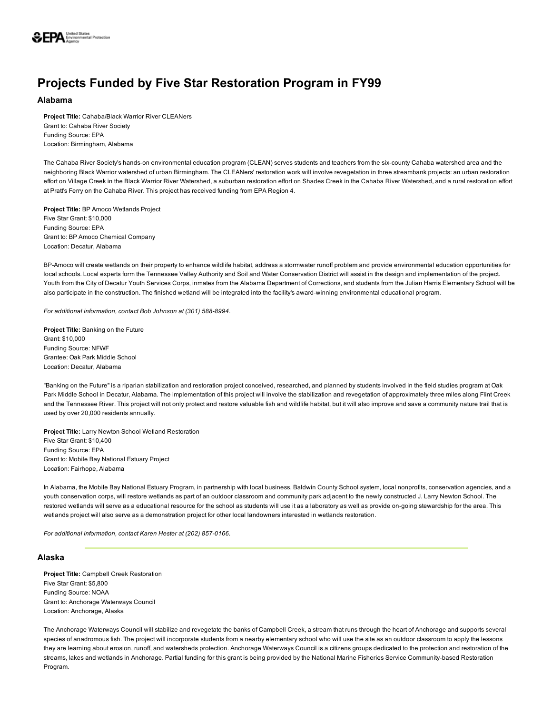

# Projects Funded by Five Star Restoration Program in FY99

# Alabama

Project Title: Cahaba/Black Warrior River CLEANers Grant to: Cahaba River Society Funding Source: EPA Location: Birmingham, Alabama

The Cahaba River Society's hands-on environmental education program (CLEAN) serves students and teachers from the six-county Cahaba watershed area and the neighboring Black Warrior watershed of urban Birmingham. The CLEANers' restoration work will involve revegetation in three streambank projects: an urban restoration effort on Village Creek in the Black Warrior River Watershed, a suburban restoration effort on Shades Creek in the Cahaba River Watershed, and a rural restoration effort at Pratt's Ferry on the Cahaba River. This project has received funding from EPA Region 4.

Project Title: BP Amoco Wetlands Project Five Star Grant: \$10,000 Funding Source: EPA Grant to: BP Amoco Chemical Company Location: Decatur, Alabama

BP-Amoco will create wetlands on their property to enhance wildlife habitat, address a stormwater runoff problem and provide environmental education opportunities for local schools. Local experts form the Tennessee Valley Authority and Soil and Water Conservation District will assist in the design and implementation of the project. Youth from the City of Decatur Youth Services Corps, inmates from the Alabama Department of Corrections, and students from the Julian Harris Elementary School will be also participate in the construction. The finished wetland will be integrated into the facility's award-winning environmental educational program.

For additional information, contact Bob Johnson at (301) 588-8994.

Project Title: Banking on the Future Grant: \$10,000 Funding Source: NFWF Grantee: Oak Park Middle School Location: Decatur, Alabama

"Banking on the Future" is a riparian stabilization and restoration project conceived, researched, and planned by students involved in the field studies program at Oak Park Middle School in Decatur, Alabama. The implementation of this project will involve the stabilization and revegetation of approximately three miles along Flint Creek and the Tennessee River. This project will not only protect and restore valuable fish and wildlife habitat, but it will also improve and save a community nature trail that is used by over 20,000 residents annually.

Project Title: Larry Newton School Wetland Restoration Five Star Grant: \$10,400 Funding Source: EPA Grant to: Mobile Bay National Estuary Project Location: Fairhope, Alabama

In Alabama, the Mobile Bay National Estuary Program, in partnership with local business, Baldwin County School system, local nonprofits, conservation agencies, and a youth conservation corps, will restore wetlands as part of an outdoor classroom and community park adjacent to the newly constructed J. Larry Newton School. The restored wetlands will serve as a educational resource for the school as students will use it as a laboratory as well as provide on-going stewardship for the area. This wetlands project will also serve as a demonstration project for other local landowners interested in wetlands restoration.

*For additional information, contact Karen Hester at (202) 857-0166.* 

# Alaska

Project Title: Campbell Creek Restoration Five Star Grant: \$5,800 Funding Source: NOAA Grant to: Anchorage Waterways Council Location: Anchorage, Alaska

The Anchorage Waterways Council will stabilize and revegetate the banks of Campbell Creek, a stream that runs through the heart of Anchorage and supports several species of anadromous fish. The project will incorporate students from a nearby elementary school who will use the site as an outdoor classroom to apply the lessons they are learning about erosion, runoff, and watersheds protection. Anchorage Waterways Council is a citizens groups dedicated to the protection and restoration of the streams, lakes and wetlands in Anchorage. Partial funding for this grant is being provided by the National Marine Fisheries Service Community-based Restoration Program.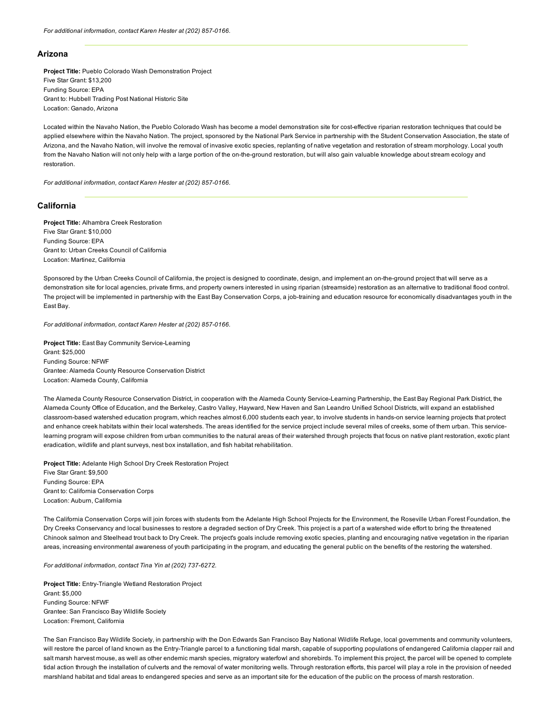## Arizona

Project Title: Pueblo Colorado Wash Demonstration Project Five Star Grant: \$13,200 Funding Source: EPA Grant to: Hubbell Trading Post National Historic Site Location: Ganado, Arizona

Located within the Navaho Nation, the Pueblo Colorado Wash has become a model demonstration site for costeffective riparian restoration techniques that could be applied elsewhere within the Navaho Nation. The project, sponsored by the National Park Service in partnership with the Student Conservation Association, the state of Arizona, and the Navaho Nation, will involve the removal of invasive exotic species, replanting of native vegetation and restoration of stream morphology. Local youth from the Navaho Nation will not only help with a large portion of the on-the-ground restoration, but will also gain valuable knowledge about stream ecology and restoration.

*For additional information, contact Karen Hester at (202) 857-0166.* 

# California

Project Title: Alhambra Creek Restoration Five Star Grant: \$10,000 Funding Source: EPA Grant to: Urban Creeks Council of California Location: Martinez, California

Sponsored by the Urban Creeks Council of California, the project is designed to coordinate, design, and implement an on-the-ground project that will serve as a demonstration site for local agencies, private firms, and property owners interested in using riparian (streamside) restoration as an alternative to traditional flood control. The project will be implemented in partnership with the East Bay Conservation Corps, a job-training and education resource for economically disadvantages youth in the East Bay.

*For additional information, contact Karen Hester at (202) 857-0166.* 

Project Title: East Bay Community Service-Learning Grant: \$25,000 Funding Source: NFWF Grantee: Alameda County Resource Conservation District Location: Alameda County, California

The Alameda County Resource Conservation District, in cooperation with the Alameda County Service-Learning Partnership, the East Bay Regional Park District, the Alameda County Office of Education, and the Berkeley, Castro Valley, Hayward, New Haven and San Leandro Unified School Districts, will expand an established classroom-based watershed education program, which reaches almost 6,000 students each year, to involve students in hands-on service learning projects that protect and enhance creek habitats within their local watersheds. The areas identified for the service project include several miles of creeks, some of them urban. This servicelearning program will expose children from urban communities to the natural areas of their watershed through projects that focus on native plant restoration, exotic plant eradication, wildlife and plant surveys, nest box installation, and fish habitat rehabilitation.

Project Title: Adelante High School Dry Creek Restoration Project Five Star Grant: \$9,500 Funding Source: EPA Grant to: California Conservation Corps Location: Auburn, California

The California Conservation Corps will join forces with students from the Adelante High School Projects for the Environment, the Roseville Urban Forest Foundation, the Dry Creeks Conservancy and local businesses to restore a degraded section of Dry Creek. This project is a part of a watershed wide effort to bring the threatened Chinook salmon and Steelhead trout back to Dry Creek. The project's goals include removing exotic species, planting and encouraging native vegetation in the riparian areas, increasing environmental awareness of youth participating in the program, and educating the general public on the benefits of the restoring the watershed.

*For additional information, contact Tina Yin at (202) 737-6272.* 

Project Title: Entry-Triangle Wetland Restoration Project Grant: \$5,000 Funding Source: NFWF Grantee: San Francisco Bay Wildlife Society Location: Fremont, California

The San Francisco Bay Wildlife Society, in partnership with the Don Edwards San Francisco Bay National Wildlife Refuge, local governments and community volunteers, will restore the parcel of land known as the Entry-Triangle parcel to a functioning tidal marsh, capable of supporting populations of endangered California clapper rail and salt marsh harvest mouse, as well as other endemic marsh species, migratory waterfowl and shorebirds. To implement this project, the parcel will be opened to complete tidal action through the installation of culverts and the removal of water monitoring wells. Through restoration efforts, this parcel will play a role in the provision of needed marshland habitat and tidal areas to endangered species and serve as an important site for the education of the public on the process of marsh restoration.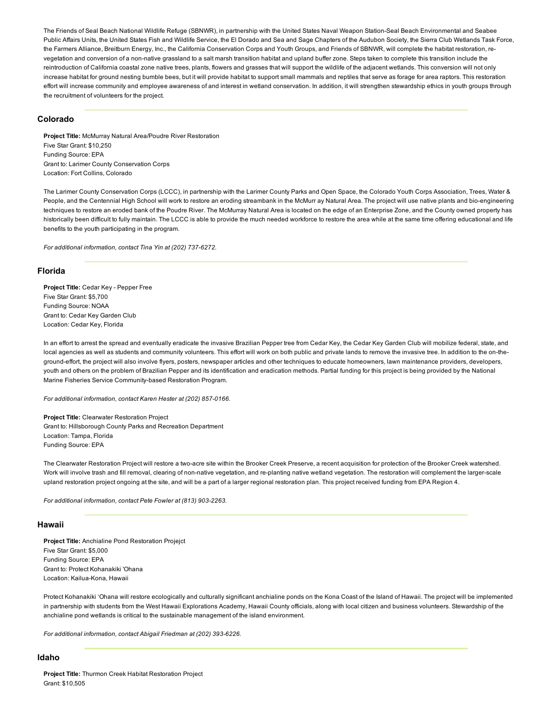The Friends of Seal Beach National Wildlife Refuge (SBNWR), in partnership with the United States Naval Weapon Station-Seal Beach Environmental and Seabee Public Affairs Units, the United States Fish and Wildlife Service, the El Dorado and Sea and Sage Chapters of the Audubon Society, the Sierra Club Wetlands Task Force, the Farmers Alliance, Breitburn Energy, Inc., the California Conservation Corps and Youth Groups, and Friends of SBNWR, will complete the habitat restoration, revegetation and conversion of a non-native grassland to a salt marsh transition habitat and upland buffer zone. Steps taken to complete this transition include the reintroduction of California coastal zone native trees, plants, flowers and grasses that will support the wildlife of the adjacent wetlands. This conversion will not only increase habitat for ground nesting bumble bees, but it will provide habitat to support small mammals and reptiles that serve as forage for area raptors. This restoration effort will increase community and employee awareness of and interest in wetland conservation. In addition, it will strengthen stewardship ethics in youth groups through the recruitment of volunteers for the project.

# Colorado

Project Title: McMurray Natural Area/Poudre River Restoration Five Star Grant: \$10,250 Funding Source: EPA Grant to: Larimer County Conservation Corps Location: Fort Collins, Colorado

The Larimer County Conservation Corps (LCCC), in partnership with the Larimer County Parks and Open Space, the Colorado Youth Corps Association, Trees, Water & People, and the Centennial High School will work to restore an eroding streambank in the McMurr ay Natural Area. The project will use native plants and bio-engineering techniques to restore an eroded bank of the Poudre River. The McMurray Natural Area is located on the edge of an Enterprise Zone, and the County owned property has historically been difficult to fully maintain. The LCCC is able to provide the much needed workforce to restore the area while at the same time offering educational and life benefits to the youth participating in the program.

*For additional information, contact Tina Yin at (202) 737-6272.* 

#### Florida

Project Title: Cedar Key - Pepper Free Five Star Grant: \$5,700 Funding Source: NOAA Grant to: Cedar Key Garden Club Location: Cedar Key, Florida

In an effort to arrest the spread and eventually eradicate the invasive Brazilian Pepper tree from Cedar Key, the Cedar Key Garden Club will mobilize federal, state, and local agencies as well as students and community volunteers. This effort will work on both public and private lands to remove the invasive tree. In addition to the on-theground-effort, the project will also involve flyers, posters, newspaper articles and other techniques to educate homeowners, lawn maintenance providers, developers, youth and others on the problem of Brazilian Pepper and its identification and eradication methods. Partial funding for this project is being provided by the National Marine Fisheries Service Community-based Restoration Program.

*For additional information, contact Karen Hester at (202) 857-0166.* 

Project Title: Clearwater Restoration Project Grant to: Hillsborough County Parks and Recreation Department Location: Tampa, Florida Funding Source: EPA

The Clearwater Restoration Project will restore a two-acre site within the Brooker Creek Preserve, a recent acquisition for protection of the Brooker Creek watershed. Work will involve trash and fill removal, clearing of non-native vegetation, and re-planting native wetland vegetation. The restoration will complement the larger-scale upland restoration project ongoing at the site, and will be a part of a larger regional restoration plan. This project received funding from EPA Region 4.

*For additional information, contact Pete Fowler at (813) 903-2263.* 

#### Hawaii

Project Title: Anchialine Pond Restoration Projejct Five Star Grant: \$5,000 Funding Source: EPA Grant to: Protect Kohanakiki 'Ohana Location: Kailua-Kona, Hawaii

Protect Kohanakiki 'Ohana will restore ecologically and culturally significant anchialine ponds on the Kona Coast of the Island of Hawaii. The project will be implemented in partnership with students from the West Hawaii Explorations Academy, Hawaii County officials, along with local citizen and business volunteers. Stewardship of the anchialine pond wetlands is critical to the sustainable management of the island environment.

For additional information, contact Abigail Friedman at (202) 393-6226.

# Idaho

Project Title: Thurmon Creek Habitat Restoration Project Grant: \$10,505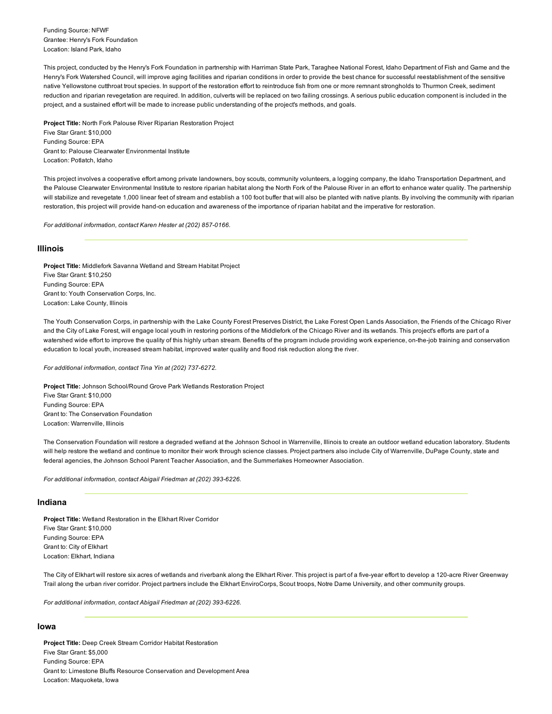Funding Source: NFWF Grantee: Henry's Fork Foundation Location: Island Park, Idaho

This project, conducted by the Henry's Fork Foundation in partnership with Harriman State Park, Taraghee National Forest, Idaho Department of Fish and Game and the Henry's Fork Watershed Council, will improve aging facilities and riparian conditions in order to provide the best chance for successful reestablishment of the sensitive native Yellowstone cutthroat trout species. In support of the restoration effort to reintroduce fish from one or more remnant strongholds to Thurmon Creek, sediment reduction and riparian revegetation are required. In addition, culverts will be replaced on two failing crossings. A serious public education component is included in the project, and a sustained effort will be made to increase public understanding of the project's methods, and goals.

Project Title: North Fork Palouse River Riparian Restoration Project Five Star Grant: \$10,000 Funding Source: EPA Grant to: Palouse Clearwater Environmental Institute Location: Potlatch, Idaho

This project involves a cooperative effort among private landowners, boy scouts, community volunteers, a logging company, the Idaho Transportation Department, and the Palouse Clearwater Environmental Institute to restore riparian habitat along the North Fork of the Palouse River in an effort to enhance water quality. The partnership will stabilize and revegetate 1,000 linear feet of stream and establish a 100 foot buffer that will also be planted with native plants. By involving the community with riparian restoration, this project will provide hand-on education and awareness of the importance of riparian habitat and the imperative for restoration.

*For additional information, contact Karen Hester at (202) 857-0166.* 

### Illinois

Project Title: Middlefork Savanna Wetland and Stream Habitat Project Five Star Grant: \$10,250 Funding Source: EPA Grant to: Youth Conservation Corps, Inc. Location: Lake County, Illinois

The Youth Conservation Corps, in partnership with the Lake County Forest Preserves District, the Lake Forest Open Lands Association, the Friends of the Chicago River and the City of Lake Forest, will engage local youth in restoring portions of the Middlefork of the Chicago River and its wetlands. This project's efforts are part of a watershed wide effort to improve the quality of this highly urban stream. Benefits of the program include providing work experience, on-the-job training and conservation education to local youth, increased stream habitat, improved water quality and flood risk reduction along the river.

*For additional information, contact Tina Yin at (202) 737-6272.* 

Project Title: Johnson School/Round Grove Park Wetlands Restoration Project Five Star Grant: \$10,000 Funding Source: EPA Grant to: The Conservation Foundation Location: Warrenville, Illinois

The Conservation Foundation will restore a degraded wetland at the Johnson School in Warrenville, Illinois to create an outdoor wetland education laboratory. Students will help restore the wetland and continue to monitor their work through science classes. Project partners also include City of Warrenville, DuPage County, state and federal agencies, the Johnson School Parent Teacher Association, and the Summerlakes Homeowner Association.

For additional information, contact Abigail Friedman at (202) 393-6226.

### Indiana

Project Title: Wetland Restoration in the Elkhart River Corridor Five Star Grant: \$10,000 Funding Source: EPA Grant to: City of Elkhart Location: Elkhart, Indiana

The City of Elkhart will restore six acres of wetlands and riverbank along the Elkhart River. This project is part of a five-year effort to develop a 120-acre River Greenway Trail along the urban river corridor. Project partners include the Elkhart EnviroCorps, Scout troops, Notre Dame University, and other community groups.

*For additional information, contact Abigail Friedman at (202) 393-6226.* 

# Iowa

Project Title: Deep Creek Stream Corridor Habitat Restoration Five Star Grant: \$5,000 Funding Source: EPA Grant to: Limestone Bluffs Resource Conservation and Development Area Location: Maquoketa, Iowa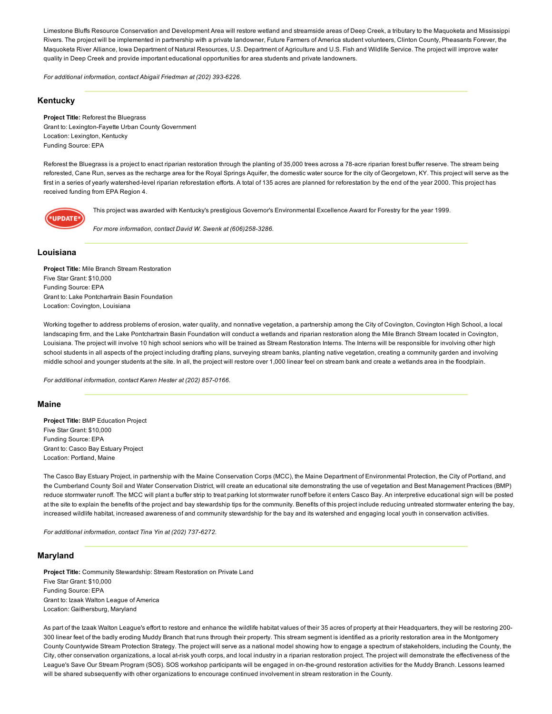Limestone Bluffs Resource Conservation and Development Area will restore wetland and streamside areas of Deep Creek, a tributary to the Maquoketa and Mississippi Rivers. The project will be implemented in partnership with a private landowner, Future Farmers of America student volunteers, Clinton County, Pheasants Forever, the Maquoketa River Alliance, Iowa Department of Natural Resources, U.S. Department of Agriculture and U.S. Fish and Wildlife Service. The project will improve water quality in Deep Creek and provide important educational opportunities for area students and private landowners.

*For additional information, contact Abigail Friedman at (202) 393-6226.* 

# Kentucky

## Project Title: Reforest the Bluegrass Grant to: Lexington-Fayette Urban County Government Location: Lexington, Kentucky Funding Source: EPA

Reforest the Bluegrass is a project to enact riparian restoration through the planting of 35,000 trees across a 78-acre riparian forest buffer reserve. The stream being reforested, Cane Run, serves as the recharge area for the Royal Springs Aquifer, the domestic water source for the city of Georgetown, KY. This project will serve as the first in a series of yearly watershed-level riparian reforestation efforts. A total of 135 acres are planned for reforestation by the end of the year 2000. This project has received funding from EPA Region 4.



This project was awarded with Kentucky's prestigious Governor's Environmental Excellence Award for Forestry for the year 1999.

*For more information, contact David W. Swenk at (606)258-3286.* 

# Louisiana

Project Title: Mile Branch Stream Restoration Five Star Grant: \$10,000 Funding Source: EPA Grant to: Lake Pontchartrain Basin Foundation Location: Covington, Louisiana

Working together to address problems of erosion, water quality, and nonnative vegetation, a partnership among the City of Covington, Covington High School, a local landscaping firm, and the Lake Pontchartrain Basin Foundation will conduct a wetlands and riparian restoration along the Mile Branch Stream located in Covington, Louisiana. The project will involve 10 high school seniors who will be trained as Stream Restoration Interns. The Interns will be responsible for involving other high school students in all aspects of the project including drafting plans, surveying stream banks, planting native vegetation, creating a community garden and involving middle school and younger students at the site. In all, the project will restore over 1,000 linear feel on stream bank and create a wetlands area in the floodplain.

For additional information, contact Karen Hester at (202) 857-0166.

#### Maine

Project Title: BMP Education Project Five Star Grant: \$10,000 Funding Source: EPA Grant to: Casco Bay Estuary Project Location: Portland, Maine

The Casco Bay Estuary Project, in partnership with the Maine Conservation Corps (MCC), the Maine Department of Environmental Protection, the City of Portland, and the Cumberland County Soil and Water Conservation District, will create an educational site demonstrating the use of vegetation and Best Management Practices (BMP) reduce stormwater runoff. The MCC will plant a buffer strip to treat parking lot stormwater runoff before it enters Casco Bay. An interpretive educational sign will be posted at the site to explain the benefits of the project and bay stewardship tips for the community. Benefits of this project include reducing untreated stormwater entering the bay, increased wildlife habitat, increased awareness of and community stewardship for the bay and its watershed and engaging local youth in conservation activities.

*For additional information, contact Tina Yin at (202) 737-6272.* 

# Maryland

Project Title: Community Stewardship: Stream Restoration on Private Land Five Star Grant: \$10,000 Funding Source: EPA Grant to: Izaak Walton League of America Location: Gaithersburg, Maryland

As part of the Izaak Walton League's effort to restore and enhance the wildlife habitat values of their 35 acres of property at their Headquarters, they will be restoring 200 300 linear feet of the badly eroding Muddy Branch that runs through their property. This stream segment is identified as a priority restoration area in the Montgomery County Countywide Stream Protection Strategy. The project will serve as a national model showing how to engage a spectrum of stakeholders, including the County, the City, other conservation organizations, a local at-risk youth corps, and local industry in a riparian restoration project. The project will demonstrate the effectiveness of the League's Save Our Stream Program (SOS). SOS workshop participants will be engaged in on-the-ground restoration activities for the Muddy Branch. Lessons learned will be shared subsequently with other organizations to encourage continued involvement in stream restoration in the County.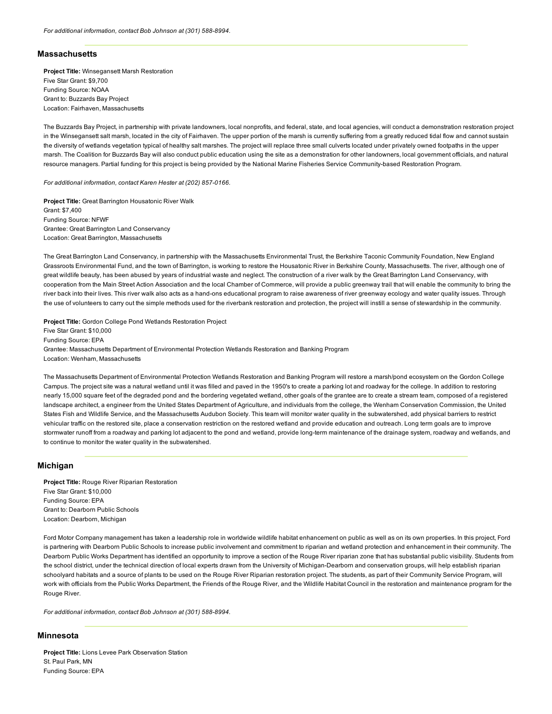### **Massachusetts**

Project Title: Winsegansett Marsh Restoration Five Star Grant: \$9,700 Funding Source: NOAA Grant to: Buzzards Bay Project Location: Fairhaven, Massachusetts

The Buzzards Bay Project, in partnership with private landowners, local nonprofits, and federal, state, and local agencies, will conduct a demonstration restoration project in the Winsegansett salt marsh, located in the city of Fairhaven. The upper portion of the marsh is currently suffering from a greatly reduced tidal flow and cannot sustain the diversity of wetlands vegetation typical of healthy salt marshes. The project will replace three small culverts located under privately owned footpaths in the upper marsh. The Coalition for Buzzards Bay will also conduct public education using the site as a demonstration for other landowners, local government officials, and natural resource managers. Partial funding for this project is being provided by the National Marine Fisheries Service Community-based Restoration Program.

*For additional information, contact Karen Hester at (202) 857-0166.* 

Project Title: Great Barrington Housatonic River Walk Grant: \$7,400 Funding Source: NFWF Grantee: Great Barrington Land Conservancy Location: Great Barrington, Massachusetts

The Great Barrington Land Conservancy, in partnership with the Massachusetts Environmental Trust, the Berkshire Taconic Community Foundation, New England Grassroots Environmental Fund, and the town of Barrington, is working to restore the Housatonic River in Berkshire County, Massachusetts. The river, although one of great wildlife beauty, has been abused by years of industrial waste and neglect. The construction of a river walk by the Great Barrington Land Conservancy, with cooperation from the Main Street Action Association and the local Chamber of Commerce, will provide a public greenway trail that will enable the community to bring the river back into their lives. This river walk also acts as a hand-ons educational program to raise awareness of river greenway ecology and water quality issues. Through the use of volunteers to carry out the simple methods used for the riverbank restoration and protection, the project will instill a sense of stewardship in the community.

Project Title: Gordon College Pond Wetlands Restoration Project Five Star Grant: \$10,000 Funding Source: EPA Grantee: Massachusetts Department of Environmental Protection Wetlands Restoration and Banking Program Location: Wenham, Massachusetts

The Massachusetts Department of Environmental Protection Wetlands Restoration and Banking Program will restore a marsh/pond ecosystem on the Gordon College Campus. The project site was a natural wetland until it was filled and paved in the 1950's to create a parking lot and roadway for the college. In addition to restoring nearly 15,000 square feet of the degraded pond and the bordering vegetated wetland, other goals of the grantee are to create a stream team, composed of a registered landscape architect, a engineer from the United States Department of Agriculture, and individuals from the college, the Wenham Conservation Commission, the United States Fish and Wildlife Service, and the Massachusetts Audubon Society. This team will monitor water quality in the subwatershed, add physical barriers to restrict vehicular traffic on the restored site, place a conservation restriction on the restored wetland and provide education and outreach. Long term goals are to improve stormwater runoff from a roadway and parking lot adjacent to the pond and wetland, provide long-term maintenance of the drainage system, roadway and wetlands, and to continue to monitor the water quality in the subwatershed.

# Michigan

Project Title: Rouge River Riparian Restoration Five Star Grant: \$10,000 Funding Source: EPA Grant to: Dearborn Public Schools Location: Dearborn, Michigan

Ford Motor Company management has taken a leadership role in worldwide wildlife habitat enhancement on public as well as on its own properties. In this project, Ford is partnering with Dearborn Public Schools to increase public involvement and commitment to riparian and wetland protection and enhancement in their community. The Dearborn Public Works Department has identified an opportunity to improve a section of the Rouge River riparian zone that has substantial public visibility. Students from the school district, under the technical direction of local experts drawn from the University of Michigan-Dearborn and conservation groups, will help establish riparian schoolyard habitats and a source of plants to be used on the Rouge River Riparian restoration project. The students, as part of their Community Service Program, will work with officials from the Public Works Department, the Friends of the Rouge River, and the Wildlife Habitat Council in the restoration and maintenance program for the Rouge River.

For additional information, contact Bob Johnson at (301) 588-8994.

# **Minnesota**

Project Title: Lions Levee Park Observation Station St. Paul Park, MN Funding Source: EPA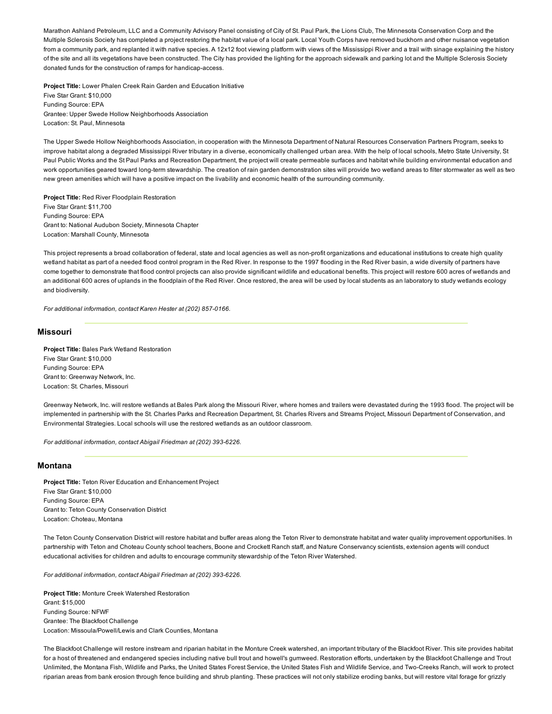Marathon Ashland Petroleum, LLC and a Community Advisory Panel consisting of City of St. Paul Park, the Lions Club, The Minnesota Conservation Corp and the Multiple Sclerosis Society has completed a project restoring the habitat value of a local park. Local Youth Corps have removed buckhorn and other nuisance vegetation from a community park, and replanted it with native species. A 12x12 foot viewing platform with views of the Mississippi River and a trail with sinage explaining the history of the site and all its vegetations have been constructed. The City has provided the lighting for the approach sidewalk and parking lot and the Multiple Sclerosis Society donated funds for the construction of ramps for handicap-access.

Project Title: Lower Phalen Creek Rain Garden and Education Initiative Five Star Grant: \$10,000 Funding Source: EPA Grantee: Upper Swede Hollow Neighborhoods Association Location: St. Paul, Minnesota

The Upper Swede Hollow Neighborhoods Association, in cooperation with the Minnesota Department of Natural Resources Conservation Partners Program, seeks to improve habitat along a degraded Mississippi River tributary in a diverse, economically challenged urban area. With the help of local schools, Metro State University, St Paul Public Works and the St Paul Parks and Recreation Department, the project will create permeable surfaces and habitat while building environmental education and work opportunities geared toward long-term stewardship. The creation of rain garden demonstration sites will provide two wetland areas to filter stormwater as well as two new green amenities which will have a positive impact on the livability and economic health of the surrounding community.

Project Title: Red River Floodplain Restoration Five Star Grant: \$11,700 Funding Source: EPA Grant to: National Audubon Society, Minnesota Chapter Location: Marshall County, Minnesota

This project represents a broad collaboration of federal, state and local agencies as well as non-profit organizations and educational institutions to create high quality wetland habitat as part of a needed flood control program in the Red River. In response to the 1997 flooding in the Red River basin, a wide diversity of partners have come together to demonstrate that flood control projects can also provide significant wildlife and educational benefits. This project will restore 600 acres of wetlands and an additional 600 acres of uplands in the floodplain of the Red River. Once restored, the area will be used by local students as an laboratory to study wetlands ecology and biodiversity.

*For additional information, contact Karen Hester at (202) 857-0166.* 

# Missouri

Project Title: Bales Park Wetland Restoration Five Star Grant: \$10,000 Funding Source: EPA Grant to: Greenway Network, Inc. Location: St. Charles, Missouri

Greenway Network, Inc. will restore wetlands at Bales Park along the Missouri River, where homes and trailers were devastated during the 1993 flood. The project will be implemented in partnership with the St. Charles Parks and Recreation Department, St. Charles Rivers and Streams Project, Missouri Department of Conservation, and Environmental Strategies. Local schools will use the restored wetlands as an outdoor classroom.

For additional information, contact Abigail Friedman at (202) 393-6226.

#### Montana

Project Title: Teton River Education and Enhancement Project Five Star Grant: \$10,000 Funding Source: EPA Grant to: Teton County Conservation District Location: Choteau, Montana

The Teton County Conservation District will restore habitat and buffer areas along the Teton River to demonstrate habitat and water quality improvement opportunities. In partnership with Teton and Choteau County school teachers, Boone and Crockett Ranch staff, and Nature Conservancy scientists, extension agents will conduct educational activities for children and adults to encourage community stewardship of the Teton River Watershed.

For additional information, contact Abigail Friedman at (202) 393-6226.

Project Title: Monture Creek Watershed Restoration Grant: \$15,000 Funding Source: NFWF Grantee: The Blackfoot Challenge Location: Missoula/Powell/Lewis and Clark Counties, Montana

The Blackfoot Challenge will restore instream and riparian habitat in the Monture Creek watershed, an important tributary of the Blackfoot River. This site provides habitat for a host of threatened and endangered species including native bull trout and howell's gumweed. Restoration efforts, undertaken by the Blackfoot Challenge and Trout Unlimited, the Montana Fish, Wildlife and Parks, the United States Forest Service, the United States Fish and Wildlife Service, and TwoCreeks Ranch, will work to protect riparian areas from bank erosion through fence building and shrub planting. These practices will not only stabilize eroding banks, but will restore vital forage for grizzly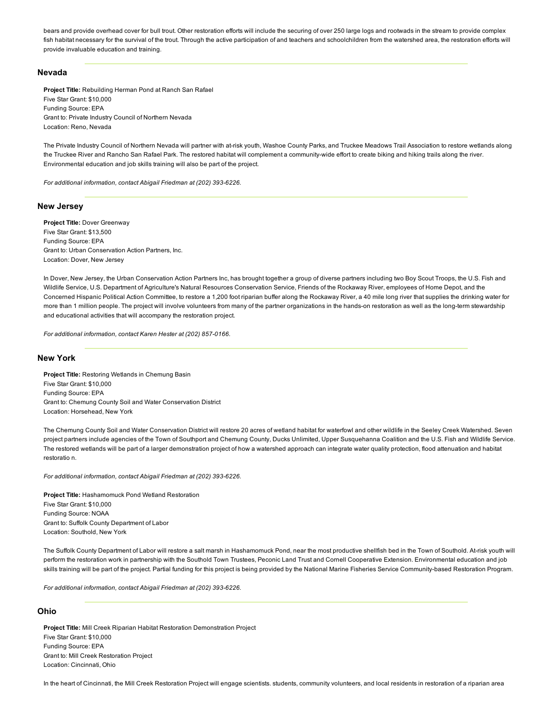bears and provide overhead cover for bull trout. Other restoration efforts will include the securing of over 250 large logs and rootwads in the stream to provide complex fish habitat necessary for the survival of the trout. Through the active participation of and teachers and schoolchildren from the watershed area, the restoration efforts will provide invaluable education and training.

## Nevada

Project Title: Rebuilding Herman Pond at Ranch San Rafael Five Star Grant: \$10,000 Funding Source: EPA Grant to: Private Industry Council of Northern Nevada Location: Reno, Nevada

The Private Industry Council of Northern Nevada will partner with atrisk youth, Washoe County Parks, and Truckee Meadows Trail Association to restore wetlands along the Truckee River and Rancho San Rafael Park. The restored habitat will complement a community-wide effort to create biking and hiking trails along the river. Environmental education and job skills training will also be part of the project.

*For additional information, contact Abigail Friedman at (202) 393-6226.* 

# New Jersey

Project Title: Dover Greenway Five Star Grant: \$13,500 Funding Source: EPA Grant to: Urban Conservation Action Partners, Inc. Location: Dover, New Jersey

In Dover, New Jersey, the Urban Conservation Action Partners Inc, has brought together a group of diverse partners including two Boy Scout Troops, the U.S. Fish and Wildlife Service, U.S. Department of Agriculture's Natural Resources Conservation Service, Friends of the Rockaway River, employees of Home Depot, and the Concerned Hispanic Political Action Committee, to restore a 1,200 foot riparian buffer along the Rockaway River, a 40 mile long river that supplies the drinking water for more than 1 million people. The project will involve volunteers from many of the partner organizations in the hands-on restoration as well as the long-term stewardship and educational activities that will accompany the restoration project.

*For additional information, contact Karen Hester at (202) 857-0166.* 

# New York

Project Title: Restoring Wetlands in Chemung Basin Five Star Grant: \$10,000 Funding Source: EPA Grant to: Chemung County Soil and Water Conservation District Location: Horsehead, New York

The Chemung County Soil and Water Conservation District will restore 20 acres of wetland habitat for waterfowl and other wildlife in the Seeley Creek Watershed. Seven project partners include agencies of the Town of Southport and Chemung County, Ducks Unlimited, Upper Susquehanna Coalition and the U.S. Fish and Wildlife Service. The restored wetlands will be part of a larger demonstration project of how a watershed approach can integrate water quality protection, flood attenuation and habitat restoratio n.

*For additional information, contact Abigail Friedman at (202) 393-6226.* 

Project Title: Hashamomuck Pond Wetland Restoration Five Star Grant: \$10,000 Funding Source: NOAA Grant to: Suffolk County Department of Labor Location: Southold, New York

The Suffolk County Department of Labor will restore a salt marsh in Hashamomuck Pond, near the most productive shellfish bed in the Town of Southold. Atrisk youth will perform the restoration work in partnership with the Southold Town Trustees, Peconic Land Trust and Cornell Cooperative Extension. Environmental education and job skills training will be part of the project. Partial funding for this project is being provided by the National Marine Fisheries Service Community-based Restoration Program.

For additional information, contact Abigail Friedman at (202) 393-6226.

# Ohio

Project Title: Mill Creek Riparian Habitat Restoration Demonstration Project Five Star Grant: \$10,000 Funding Source: EPA Grant to: Mill Creek Restoration Project Location: Cincinnati, Ohio

In the heart of Cincinnati, the Mill Creek Restoration Project will engage scientists. students, community volunteers, and local residents in restoration of a riparian area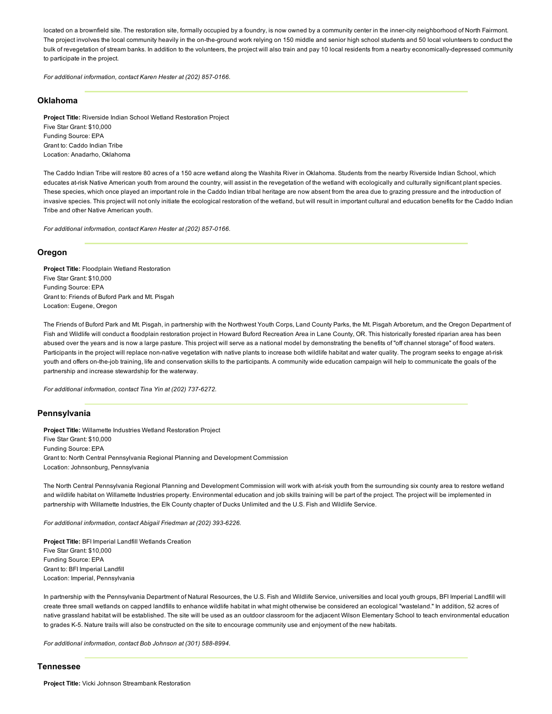located on a brownfield site. The restoration site, formally occupied by a foundry, is now owned by a community center in the inner-city neighborhood of North Fairmont. The project involves the local community heavily in the on-the-ground work relying on 150 middle and senior high school students and 50 local volunteers to conduct the bulk of revegetation of stream banks. In addition to the volunteers, the project will also train and pay 10 local residents from a nearby economically-depressed community to participate in the project.

*For additional information, contact Karen Hester at (202) 857-0166.* 

## Oklahoma

Project Title: Riverside Indian School Wetland Restoration Project Five Star Grant: \$10,000 Funding Source: EPA Grant to: Caddo Indian Tribe Location: Anadarho, Oklahoma

The Caddo Indian Tribe will restore 80 acres of a 150 acre wetland along the Washita River in Oklahoma. Students from the nearby Riverside Indian School, which educates at-risk Native American youth from around the country, will assist in the revegetation of the wetland with ecologically and culturally significant plant species. These species, which once played an important role in the Caddo Indian tribal heritage are now absent from the area due to grazing pressure and the introduction of invasive species. This project will not only initiate the ecological restoration of the wetland, but will result in important cultural and education benefits for the Caddo Indian Tribe and other Native American youth.

*For additional information, contact Karen Hester at (202) 857-0166.* 

# Oregon

Project Title: Floodplain Wetland Restoration Five Star Grant: \$10,000 Funding Source: EPA Grant to: Friends of Buford Park and Mt. Pisgah Location: Eugene, Oregon

The Friends of Buford Park and Mt. Pisgah, in partnership with the Northwest Youth Corps, Land County Parks, the Mt. Pisgah Arboretum, and the Oregon Department of Fish and Wildlife will conduct a floodplain restoration project in Howard Buford Recreation Area in Lane County, OR. This historically forested riparian area has been abused over the years and is now a large pasture. This project will serve as a national model by demonstrating the benefits of "off channel storage" of flood waters. Participants in the project will replace non-native vegetation with native plants to increase both wildlife habitat and water quality. The program seeks to engage at-risk youth and offers on-the-job training, life and conservation skills to the participants. A community wide education campaign will help to communicate the goals of the partnership and increase stewardship for the waterway.

*For additional information, contact Tina Yin at (202) 737-6272.* 

### Pennsylvania

Project Title: Willamette Industries Wetland Restoration Project Five Star Grant: \$10,000 Funding Source: EPA Grant to: North Central Pennsylvania Regional Planning and Development Commission Location: Johnsonburg, Pennsylvania

The North Central Pennsylvania Regional Planning and Development Commission will work with atrisk youth from the surrounding six county area to restore wetland and wildlife habitat on Willamette Industries property. Environmental education and job skills training will be part of the project. The project will be implemented in partnership with Willamette Industries, the Elk County chapter of Ducks Unlimited and the U.S. Fish and Wildlife Service.

*For additional information, contact Abigail Friedman at (202) 393-6226.* 

Project Title: BFI Imperial Landfill Wetlands Creation Five Star Grant: \$10,000 Funding Source: EPA Grant to: BFI Imperial Landfill Location: Imperial, Pennsylvania

In partnership with the Pennsylvania Department of Natural Resources, the U.S. Fish and Wildlife Service, universities and local youth groups, BFI Imperial Landfill will create three small wetlands on capped landfills to enhance wildlife habitat in what might otherwise be considered an ecological "wasteland." In addition, 52 acres of native grassland habitat will be established. The site will be used as an outdoor classroom for the adjacent Wilson Elementary School to teach environmental education to grades K-5. Nature trails will also be constructed on the site to encourage community use and enjoyment of the new habitats.

For additional information, contact Bob Johnson at (301) 588-8994.

## Tennessee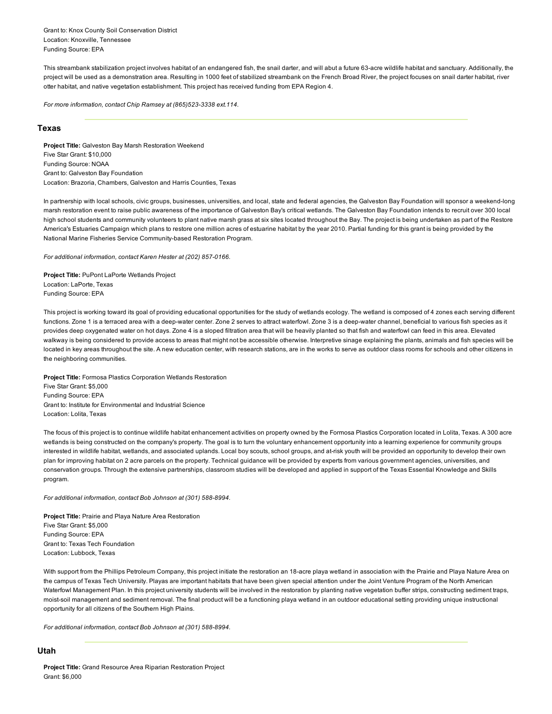Grant to: Knox County Soil Conservation District Location: Knoxville, Tennessee Funding Source: EPA

This streambank stabilization project involves habitat of an endangered fish, the snail darter, and will abut a future 63-acre wildlife habitat and sanctuary. Additionally, the project will be used as a demonstration area. Resulting in 1000 feet of stabilized streambank on the French Broad River, the project focuses on snail darter habitat, river otter habitat, and native vegetation establishment. This project has received funding from EPA Region 4.

For more information, contact Chip Ramsey at (865)523-3338 ext.114.

# Texas

Project Title: Galveston Bay Marsh Restoration Weekend Five Star Grant: \$10,000 Funding Source: NOAA Grant to: Galveston Bay Foundation Location: Brazoria, Chambers, Galveston and Harris Counties, Texas

In partnership with local schools, civic groups, businesses, universities, and local, state and federal agencies, the Galveston Bay Foundation will sponsor a weekend-long marsh restoration event to raise public awareness of the importance of Galveston Bay's critical wetlands. The Galveston Bay Foundation intends to recruit over 300 local high school students and community volunteers to plant native marsh grass at six sites located throughout the Bay. The project is being undertaken as part of the Restore America's Estuaries Campaign which plans to restore one million acres of estuarine habitat by the year 2010. Partial funding for this grant is being provided by the National Marine Fisheries Service Community-based Restoration Program.

For additional information, contact Karen Hester at (202) 857-0166.

Project Title: PuPont LaPorte Wetlands Project Location: LaPorte, Texas Funding Source: EPA

This project is working toward its goal of providing educational opportunities for the study of wetlands ecology. The wetland is composed of 4 zones each serving different functions. Zone 1 is a terraced area with a deep-water center. Zone 2 serves to attract waterfowl. Zone 3 is a deep-water channel, beneficial to various fish species as it provides deep oxygenated water on hot days. Zone 4 is a sloped filtration area that will be heavily planted so that fish and waterfowl can feed in this area. Elevated walkway is being considered to provide access to areas that might not be accessible otherwise. Interpretive sinage explaining the plants, animals and fish species will be located in key areas throughout the site. A new education center, with research stations, are in the works to serve as outdoor class rooms for schools and other citizens in the neighboring communities.

Project Title: Formosa Plastics Corporation Wetlands Restoration Five Star Grant: \$5,000 Funding Source: EPA Grant to: Institute for Environmental and Industrial Science Location: Lolita, Texas

The focus of this project is to continue wildlife habitat enhancement activities on property owned by the Formosa Plastics Corporation located in Lolita, Texas. A 300 acre wetlands is being constructed on the company's property. The goal is to turn the voluntary enhancement opportunity into a learning experience for community groups interested in wildlife habitat, wetlands, and associated uplands. Local boy scouts, school groups, and atrisk youth will be provided an opportunity to develop their own plan for improving habitat on 2 acre parcels on the property. Technical guidance will be provided by experts from various government agencies, universities, and conservation groups. Through the extensive partnerships, classroom studies will be developed and applied in support of the Texas Essential Knowledge and Skills program.

For additional information, contact Bob Johnson at (301) 588-8994.

Project Title: Prairie and Playa Nature Area Restoration Five Star Grant: \$5,000 Funding Source: EPA Grant to: Texas Tech Foundation Location: Lubbock, Texas

With support from the Phillips Petroleum Company, this project initiate the restoration an 18-acre playa wetland in association with the Prairie and Playa Nature Area on the campus of Texas Tech University. Playas are important habitats that have been given special attention under the Joint Venture Program of the North American Waterfowl Management Plan. In this project university students will be involved in the restoration by planting native vegetation buffer strips, constructing sediment traps, moist-soil management and sediment removal. The final product will be a functioning playa wetland in an outdoor educational setting providing unique instructional opportunity for all citizens of the Southern High Plains.

For additional information, contact Bob Johnson at (301) 588-8994.

# Utah

Project Title: Grand Resource Area Riparian Restoration Project Grant: \$6,000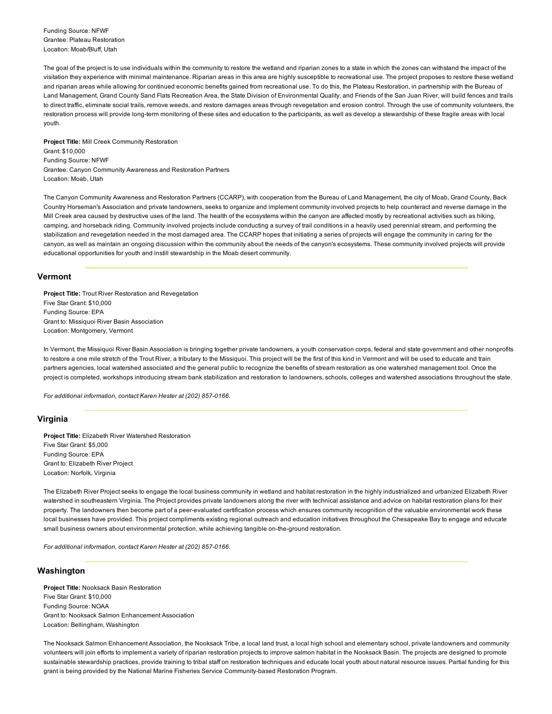Funding Source: NFWF Grantee: Plateau Restoration Location: Moab/Bluff, Utah

The goal of the project is to use individuals within the community to restore the wetland and riparian zones to a state in which the zones can withstand the impact of the visitation they experience with minimal maintenance. Riparian areas in this area are highly susceptible to recreational use. The project proposes to restore these wetland and riparian areas while allowing for continued economic benefits gained from recreational use. To do this, the Plateau Restoration, in partnership with the Bureau of Land Management, Grand County Sand Flats Recreation Area, the State Division of Environmental Quality, and Friends of the San Juan River, will build fences and trails to direct traffic, eliminate social trails, remove weeds, and restore damages areas through revegetation and erosion control. Through the use of community volunteers, the restoration process will provide long-term monitoring of these sites and education to the participants, as well as develop a stewardship of these fragile areas with local youth.

Project Title: Mill Creek Community Restoration Grant: \$10,000 Funding Source: NFWF Grantee: Canyon Community Awareness and Restoration Partners Location: Moab, Utah

The Canyon Community Awareness and Restoration Partners (CCARP), with cooperation from the Bureau of Land Management, the city of Moab, Grand County, Back Country Horseman's Association and private landowners, seeks to organize and implement community involved projects to help counteract and reverse damage in the Mill Creek area caused by destructive uses of the land. The health of the ecosystems within the canyon are affected mostly by recreational activities such as hiking, camping, and horseback riding. Community involved projects include conducting a survey of trail conditions in a heavily used perennial stream, and performing the stabilization and revegetation needed in the most damaged area. The CCARP hopes that initiating a series of projects will engage the community in caring for the canyon, as well as maintain an ongoing discussion within the community about the needs of the canyon's ecosystems. These community involved projects will provide educational opportunities for youth and instill stewardship in the Moab desert community.

## Vermont

Project Title: Trout River Restoration and Revegetation Five Star Grant: \$10,000 Funding Source: EPA Grant to: Missiquoi River Basin Association Location: Montgomery, Vermont

In Vermont, the Missiquoi River Basin Association is bringing together private landowners, a youth conservation corps, federal and state government and other nonprofits to restore a one mile stretch of the Trout River, a tributary to the Missiquoi. This project will be the first of this kind in Vermont and will be used to educate and train partners agencies, local watershed associated and the general public to recognize the benefits of stream restoration as one watershed management tool. Once the project is completed, workshops introducing stream bank stabilization and restoration to landowners, schools, colleges and watershed associations throughout the state.

*For additional information, contact Karen Hester at (202) 857-0166.* 

# Virginia

Project Title: Elizabeth River Watershed Restoration Five Star Grant: \$5,000 Funding Source: EPA Grant to: Elizabeth River Project Location: Norfolk, Virginia

The Elizabeth River Project seeks to engage the local business community in wetland and habitat restoration in the highly industrialized and urbanized Elizabeth River watershed in southeastern Virginia. The Project provides private landowners along the river with technical assistance and advice on habitat restoration plans for their property. The landowners then become part of a peer-evaluated certification process which ensures community recognition of the valuable environmental work these local businesses have provided. This project compliments existing regional outreach and education initiatives throughout the Chesapeake Bay to engage and educate small business owners about environmental protection, while achieving tangible on-the-ground restoration.

*For additional information, contact Karen Hester at (202) 857-0166.* 

# Washington

Project Title: Nooksack Basin Restoration Five Star Grant: \$10,000 Funding Source: NOAA Grant to: Nooksack Salmon Enhancement Association Location: Bellingham, Washington

The Nooksack Salmon Enhancement Association, the Nooksack Tribe, a local land trust, a local high school and elementary school, private landowners and community volunteers will join efforts to implement a variety of riparian restoration projects to improve salmon habitat in the Nooksack Basin. The projects are designed to promote sustainable stewardship practices, provide training to tribal staff on restoration techniques and educate local youth about natural resource issues. Partial funding for this grant is being provided by the National Marine Fisheries Service Community-based Restoration Program.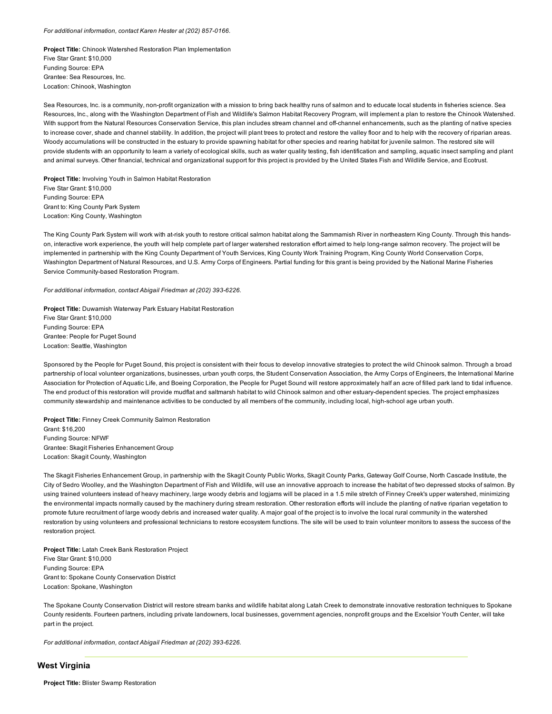#### For additional information, contact Karen Hester at (202) 857-0166.

Project Title: Chinook Watershed Restoration Plan Implementation Five Star Grant: \$10,000 Funding Source: EPA Grantee: Sea Resources, Inc. Location: Chinook, Washington

Sea Resources, Inc. is a community, non-profit organization with a mission to bring back healthy runs of salmon and to educate local students in fisheries science. Sea Resources, Inc., along with the Washington Department of Fish and Wildlife's Salmon Habitat Recovery Program, will implement a plan to restore the Chinook Watershed. With support from the Natural Resources Conservation Service, this plan includes stream channel and off-channel enhancements, such as the planting of native species to increase cover, shade and channel stability. In addition, the project will plant trees to protect and restore the valley floor and to help with the recovery of riparian areas. Woody accumulations will be constructed in the estuary to provide spawning habitat for other species and rearing habitat for juvenile salmon. The restored site will provide students with an opportunity to learn a variety of ecological skills, such as water quality testing, fish identification and sampling, aquatic insect sampling and plant and animal surveys. Other financial, technical and organizational support for this project is provided by the United States Fish and Wildlife Service, and Ecotrust.

Project Title: Involving Youth in Salmon Habitat Restoration Five Star Grant: \$10,000 Funding Source: EPA Grant to: King County Park System Location: King County, Washington

The King County Park System will work with atrisk youth to restore critical salmon habitat along the Sammamish River in northeastern King County. Through this handson, interactive work experience, the youth will help complete part of larger watershed restoration effort aimed to help longrange salmon recovery. The project will be implemented in partnership with the King County Department of Youth Services, King County Work Training Program, King County World Conservation Corps, Washington Department of Natural Resources, and U.S. Army Corps of Engineers. Partial funding for this grant is being provided by the National Marine Fisheries Service Community-based Restoration Program.

*For additional information, contact Abigail Friedman at (202) 393-6226.* 

Project Title: Duwamish Waterway Park Estuary Habitat Restoration Five Star Grant: \$10,000 Funding Source: EPA Grantee: People for Puget Sound Location: Seattle, Washington

Sponsored by the People for Puget Sound, this project is consistent with their focus to develop innovative strategies to protect the wild Chinook salmon. Through a broad partnership of local volunteer organizations, businesses, urban youth corps, the Student Conservation Association, the Army Corps of Engineers, the International Marine Association for Protection of Aquatic Life, and Boeing Corporation, the People for Puget Sound will restore approximately half an acre of filled park land to tidal influence. The end product of this restoration will provide mudflat and saltmarsh habitat to wild Chinook salmon and other estuary-dependent species. The project emphasizes community stewardship and maintenance activities to be conducted by all members of the community, including local, high-school age urban youth.

Project Title: Finney Creek Community Salmon Restoration Grant: \$16,200 Funding Source: NFWF Grantee: Skagit Fisheries Enhancement Group Location: Skagit County, Washington

The Skagit Fisheries Enhancement Group, in partnership with the Skagit County Public Works, Skagit County Parks, Gateway Golf Course, North Cascade Institute, the City of Sedro Woolley, and the Washington Department of Fish and Wildlife, will use an innovative approach to increase the habitat of two depressed stocks of salmon. By using trained volunteers instead of heavy machinery, large woody debris and logjams will be placed in a 1.5 mile stretch of Finney Creek's upper watershed, minimizing the environmental impacts normally caused by the machinery during stream restoration. Other restoration efforts will include the planting of native riparian vegetation to promote future recruitment of large woody debris and increased water quality. A major goal of the project is to involve the local rural community in the watershed restoration by using volunteers and professional technicians to restore ecosystem functions. The site will be used to train volunteer monitors to assess the success of the restoration project.

Project Title: Latah Creek Bank Restoration Project Five Star Grant: \$10,000 Funding Source: EPA Grant to: Spokane County Conservation District Location: Spokane, Washington

The Spokane County Conservation District will restore stream banks and wildlife habitat along Latah Creek to demonstrate innovative restoration techniques to Spokane County residents. Fourteen partners, including private landowners, local businesses, government agencies, nonprofit groups and the Excelsior Youth Center, will take part in the project.

For additional information, contact Abigail Friedman at (202) 393-6226.

#### West Virginia

Project Title: Blister Swamp Restoration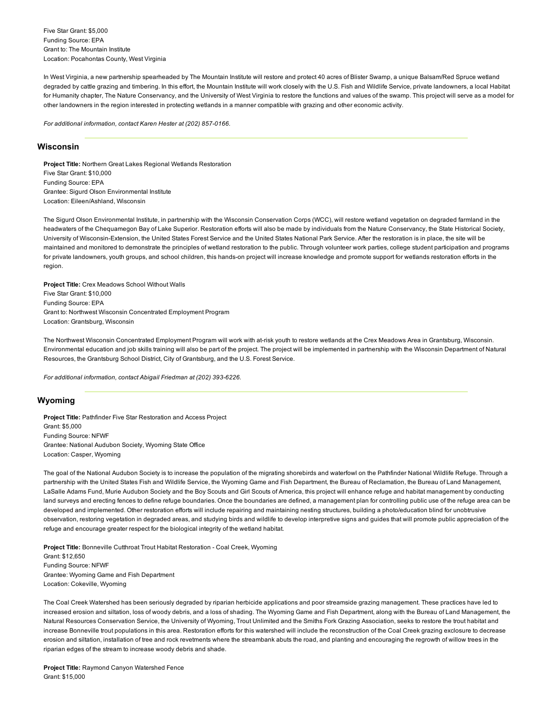Five Star Grant: \$5,000 Funding Source: EPA Grant to: The Mountain Institute Location: Pocahontas County, West Virginia

In West Virginia, a new partnership spearheaded by The Mountain Institute will restore and protect 40 acres of Blister Swamp, a unique Balsam/Red Spruce wetland degraded by cattle grazing and timbering. In this effort, the Mountain Institute will work closely with the U.S. Fish and Wildlife Service, private landowners, a local Habitat for Humanity chapter, The Nature Conservancy, and the University of West Virginia to restore the functions and values of the swamp. This project will serve as a model for other landowners in the region interested in protecting wetlands in a manner compatible with grazing and other economic activity.

*For additional information, contact Karen Hester at (202) 857-0166.* 

# Wisconsin

Project Title: Northern Great Lakes Regional Wetlands Restoration Five Star Grant: \$10,000 Funding Source: EPA Grantee: Sigurd Olson Environmental Institute Location: Eileen/Ashland, Wisconsin

The Sigurd Olson Environmental Institute, in partnership with the Wisconsin Conservation Corps (WCC), will restore wetland vegetation on degraded farmland in the headwaters of the Chequamegon Bay of Lake Superior. Restoration efforts will also be made by individuals from the Nature Conservancy, the State Historical Society, University of Wisconsin-Extension, the United States Forest Service and the United States National Park Service. After the restoration is in place, the site will be maintained and monitored to demonstrate the principles of wetland restoration to the public. Through volunteer work parties, college student participation and programs for private landowners, youth groups, and school children, this hands-on project will increase knowledge and promote support for wetlands restoration efforts in the region.

Project Title: Crex Meadows School Without Walls Five Star Grant: \$10,000 Funding Source: EPA Grant to: Northwest Wisconsin Concentrated Employment Program Location: Grantsburg, Wisconsin

The Northwest Wisconsin Concentrated Employment Program will work with atrisk youth to restore wetlands at the Crex Meadows Area in Grantsburg, Wisconsin. Environmental education and job skills training will also be part of the project. The project will be implemented in partnership with the Wisconsin Department of Natural Resources, the Grantsburg School District, City of Grantsburg, and the U.S. Forest Service.

For additional information, contact Abigail Friedman at (202) 393-6226.

# Wyoming

Project Title: Pathfinder Five Star Restoration and Access Project Grant: \$5,000 Funding Source: NFWF Grantee: National Audubon Society, Wyoming State Office Location: Casper, Wyoming

The goal of the National Audubon Society is to increase the population of the migrating shorebirds and waterfowl on the Pathfinder National Wildlife Refuge. Through a partnership with the United States Fish and Wildlife Service, the Wyoming Game and Fish Department, the Bureau of Reclamation, the Bureau of Land Management, LaSalle Adams Fund, Murie Audubon Society and the Boy Scouts and Girl Scouts of America, this project will enhance refuge and habitat management by conducting land surveys and erecting fences to define refuge boundaries. Once the boundaries are defined, a management plan for controlling public use of the refuge area can be developed and implemented. Other restoration efforts will include repairing and maintaining nesting structures, building a photo/education blind for unobtrusive observation, restoring vegetation in degraded areas, and studying birds and wildlife to develop interpretive signs and guides that will promote public appreciation of the refuge and encourage greater respect for the biological integrity of the wetland habitat.

Project Title: Bonneville Cutthroat Trout Habitat Restoration - Coal Creek, Wyoming Grant: \$12,650 Funding Source: NFWF Grantee: Wyoming Game and Fish Department Location: Cokeville, Wyoming

The Coal Creek Watershed has been seriously degraded by riparian herbicide applications and poor streamside grazing management. These practices have led to increased erosion and siltation, loss of woody debris, and a loss of shading. The Wyoming Game and Fish Department, along with the Bureau of Land Management, the Natural Resources Conservation Service, the University of Wyoming, Trout Unlimited and the Smiths Fork Grazing Association, seeks to restore the trout habitat and increase Bonneville trout populations in this area. Restoration efforts for this watershed will include the reconstruction of the Coal Creek grazing exclosure to decrease erosion and siltation, installation of tree and rock revetments where the streambank abuts the road, and planting and encouraging the regrowth of willow trees in the riparian edges of the stream to increase woody debris and shade.

Project Title: Raymond Canyon Watershed Fence Grant: \$15,000